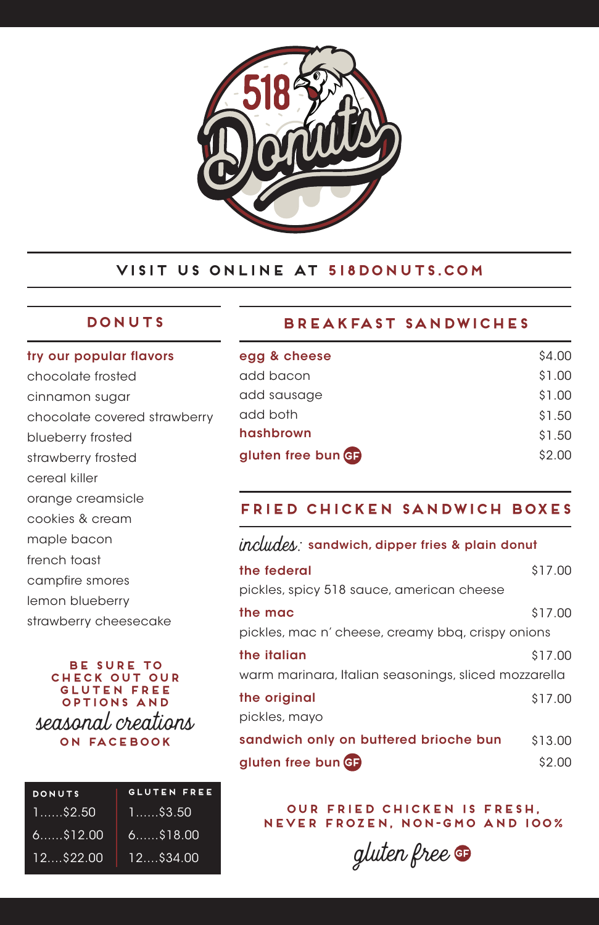

# **VISIT US ONLINE AT 518donuts.com**

# **DONUTS**

#### try our popular flavors

chocolate frosted cinnamon sugar chocolate covered strawberry blueberry frosted strawberry frosted cereal killer orange creamsicle cookies & cream maple bacon french toast campfire smores lemon blueberry

strawberry cheesecake

#### **be sure to check out our gluten free options AND** seasonal creations **on facebook**

| <b>DONUTS</b> | <b>GLUTEN FREE</b> |
|---------------|--------------------|
| .1\$2.50      | $1$ \$3.50         |
| $6.$ $$12.00$ | $6$ $$18.00$       |
| 12522.00      | $12$ \$34.00       |

# **Breakfast Sandwiches**

| egg & cheese       | \$4.00 |
|--------------------|--------|
| add bacon          | \$1.00 |
| add sausage        | \$1.00 |
| add both           | \$1.50 |
| hashbrown          | \$1.50 |
| gluten free bun GF | \$2.00 |
|                    |        |

# **FRIED CHICKEN SANDWICH BOXES**

# includes: sandwich, dipper fries & plain donut

| the federal                                          | \$17.00 |
|------------------------------------------------------|---------|
| pickles, spicy 518 sauce, american cheese            |         |
| the mac                                              | \$17.00 |
| pickles, mac n' cheese, creamy bbq, crispy onions    |         |
| the italian                                          | \$17.00 |
| warm marinara, Italian seasonings, sliced mozzarella |         |
| the original                                         | \$17.00 |
| pickles, mayo                                        |         |
| sandwich only on buttered brioche bun                | \$13.00 |
| gluten free bun G                                    | \$2.00  |

**our FRIED chicken is fresh, never frozen, non-gmo and 100%**

gluten free **GF**